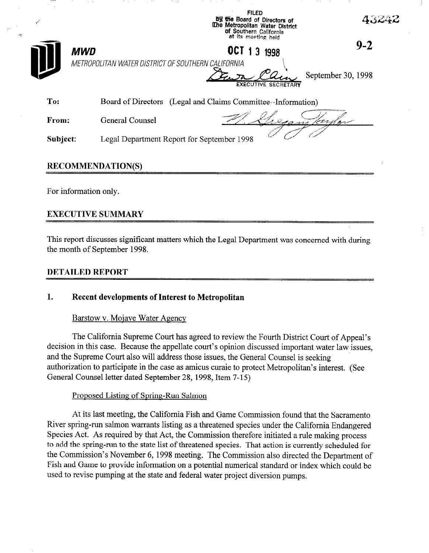

## RECOMMENDATION(S)

For information only.

## EXECUTIVE SUMMARY

This report discusses significant matters which the Legal Department was concerned with during the month of September 1998.

### DETAILED REPORT

# 1. Recent developments of Interest to Metropolitan

### Barstow v. Moiave Water Agency

The California Supreme Court has agreed to review the Fourth District Court of Appeal's decision in this case. Because the appellate court's opinion discussed important water law issues, and the Supreme Court also will address those issues, the General Counsel is seeking authorization to participate in the case as amicus curaie to protect Metropolitan's interest. (See General Counsel letter dated September 28, 1998, Item 7-15)

### Proposed Listing of Spring-Run Salmon

At its last meeting, the California Fish and Game Commission found that the Sacramento River spring-run salmon warrants listing as a threatened species under the California Endangered Species Act. As required by that Act, the Commission therefore initiated a rule making process to add the spring-run to the state list of threatened species. That action is currently scheduled for the Commission's November 6, 1998 meeting. The Commission also directed the Department of Fish and Game to provide information on a potential numerical standard or index which could be used to revise pumping at the state and federal water project diversion pumps.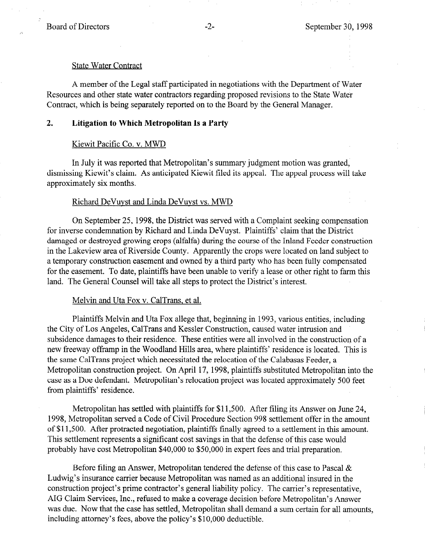#### State Water Contract

A member of the Legal staff participated in negotiations with the Department of Water Resources and other state water contractors regarding proposed revisions to the State Water Contract, which is being separately reported on to the Board by the General Manager.

## 2. Litigation to Which Metropolitan Is a Party

#### Kiewit Pacific Co. v. MWD

In July it was reported that Metropolitan's summary judgment motion was granted, dismissing Kiewit's claim. As anticipated Kiewit filed its appeal. The appeal process will take approximately six months.

#### Richard DeVuvst and Linda DeVuvst vs. MWD

On September 25, 1998, the District was served with a Complaint seeking compensation for inverse condemnation by Richard and Linda DeVuyst. Plaintiffs' claim that the District damaged or destroyed growing crops (alfalfa) during the course of the Inland Feeder construction in the Lakeview area of Riverside County. Apparently the crops were located on land subject to a temporary construction easement and owned by a third party who has been fully compensated for the easement. To date, plaintiffs have been unable to verify a lease or other right to farm this land. The General Counsel will take all steps to protect the District's interest.

### Melvin and Uta Fox v. CalTrans, et al.

Plaintiffs Melvin and Uta Fox allege that, beginning in 1993, various entities, including the City of Los Angeles, CalTrans and Kessler Construction, caused water intrusion and subsidence damages to their residence. These entities were all involved in the construction of a new freeway offramp in the Woodland Hills area, where plaintiffs' residence is located. This is the same CalTrans project which necessitated the relocation of the Calabasas Feeder, a Metropolitan construction project. On April 17, 1998, plaintiffs substituted Metropolitan into the case as a Doe defendant. Metropolitan's relocation project was located approximately 500 feet from plaintiffs' residence.

Metropolitan has settled with plaintiffs for \$11,500. After filing its Answer on June 24, 1998, Metropolitan served a Code of Civil Procedure Section 998 settlement offer in the amount of \$11,500. After protracted negotiation, plaintiffs finally agreed to a settlement in this amount. This settlement represents a significant cost savings in that the defense of this case would probably have cost Metropolitan \$40,000 to \$50,000 in expert fees and trial preparation.

Before filing an Answer, Metropolitan tendered the defense of this case to Pascal  $\&$ Ludwig's insurance carrier because Metropolitan was named as an additional insured in the construction project's prime contractor's general liability policy. The carrier's representative, AIG Claim Services, Inc., refused to make a coverage decision before Metropolitan's Answer was due. Now that the case has settled, Metropolitan shall demand a sum certain for all amounts, including attorney's fees, above the policy's \$10,000 deductible.